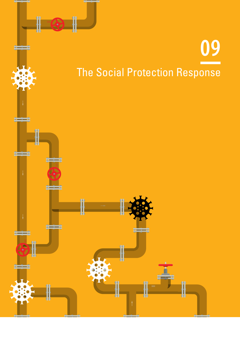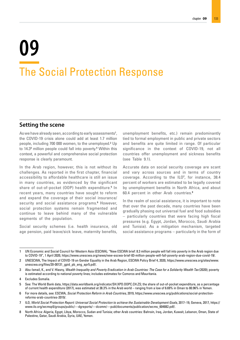## **09** The Social Protection Response

#### **Setting the scene**

As we have already seen, according to early assessments<sup>1</sup>, the COVID-19 crisis alone could add at least 1.7 million people, including 700 000 women, to the unemployed.<sup>2</sup> Up to 14.3<sup>3</sup> million people could fall into poverty.<sup>4</sup> Within this context, a powerful and comprehensive social protection response is clearly paramount.

In the Arab region, however, this is not without its challenges. As reported in the first chapter, financial accessibility to affordable healthcare is still an issue in many countries, as evidenced by the significant share of out-of-pocket (OOP) health expenditure.<sup>5</sup> In recent years, many countries have sought to reform and expand the coverage of their social insurance/ security and social assistance programs.<sup>6</sup> However, social protection systems remain fragmented and continue to leave behind many of the vulnerable segments of the population.

Social security schemes (i.e. health insurance, old age pension, paid leave/sick leave, maternity benefits, unemployment benefits, etc.) remain predominantly tied to formal employment in public and private sectors and benefits are quite limited in range. Of particular significance in the context of COVID-19, not all countries offer unemployment and sickness benefits (see Table 9.1).

Accurate data on social security coverage are scant and vary across sources and in terms of country coverage. According to the ILO<sup>7</sup>, for instance, 38.4 percent of workers are estimated to be legally covered by unemployment benefits in North Africa, and about 60.4 percent in other Arab countries.8

In the realm of social assistance, it is important to note that over the past decade, many countries have been gradually phasing out universal fuel and food subsidies – particularly countries that were facing high fiscal pressures (e.g. Egypt, Jordan, Morocco, Saudi Arabia and Tunisia). As a mitigation mechanism, targeted social assistance programs – particularly in the form of

<sup>1</sup> UN Economic and Social Council for Western Asia (ESCWA), "New ESCWA brief: 8.3 million people will fall into poverty in the Arab region due to COVID-19", 1 April 2020, https://www.unescwa.org/news/new-escwa-brief-83-million-people-will-fall-poverty-arab-region-due-covid-19/.

<sup>2</sup> UNESCWA, The Impact of COVID-19 on Gender Equality in the Arab Region, ESCWA Policy Brief 4, 2020, https://www.unescwa.org/sites/www. unescwa.org/files/20-00131\_gpid\_pb\_eng\_apr5.pdf/.

<sup>3</sup> Abu-Ismail, K., and V. Hlasny, *Wealth Inequality and Poverty Eradication in Arab Countries: The Case for a Solidarity Wealth Tax* (2020); poverty is estimated according to national poverty lines; includes estimates for Comoros and Mauritania.

<sup>4</sup> Excludes Somalia.

<sup>5</sup> See: The World Bank data, https://data.worldbank.org/indicator/SH.XPD.OOPC.CH.ZS; the share of out-of-pocket expenditure, as a percentage of current health expenditure (2017), was estimated at 38.3% in the Arab world – ranging from a low of 6.69% in Oman to 80.96% in Yemen.

<sup>6</sup> For more details, see: ESCWA, *Social Protection Reform in Arab Countries,* 2019, https://www.unescwa.org/publications/social-protectionreforms-arab-countries-2019/.

<sup>7</sup> ILO, *World Social Protection Report: Universal Social Protection to achieve the Sustainable Development Goals,* 2017–19, Geneva, 2017, https:// www.ilo.org/wcmsp5/groups/public/---dgreports/---dcomm/---publ/documents/publication/wcms\_604882.pdf/.

<sup>8</sup> North Africa: Algeria, Egypt, Libya, Morocco, Sudan and Tunisia; other Arab countries: Bahrain, Iraq, Jordan, Kuwait, Lebanon, Oman, State of Palestine, Qatar, Saudi Arabia, Syria, UAE, Yemen.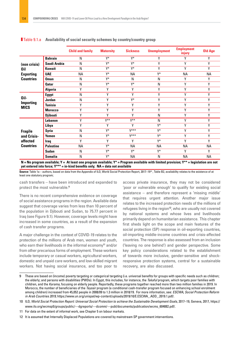|                                                               |                  | <b>Child and family</b> | <b>Maternity</b> | <b>Sickness</b> | <b>Unemployment</b> | <b>Employment</b><br>injury | <b>Old Age</b> |
|---------------------------------------------------------------|------------------|-------------------------|------------------|-----------------|---------------------|-----------------------------|----------------|
| (non crisis)<br>0il<br><b>Exporting</b><br><b>Countries</b>   | <b>Bahrain</b>   | N                       | Y*               | Y*              | Υ                   | γ                           | γ              |
|                                                               | Saudi Arabia     | N                       | Y*               | Y*              | γ                   | Υ                           | Υ              |
|                                                               | <b>Kuwait</b>    | N                       | Y*               | Y*              | Υ                   | γ                           | Y              |
|                                                               | <b>UAE</b>       | <b>NA</b>               | Y*               | <b>NA</b>       | Y*                  | <b>NA</b>                   | <b>NA</b>      |
|                                                               | <b>Oman</b>      | N                       | Y*               | N               | N                   | γ                           | Υ              |
|                                                               | <b>Qatar</b>     | N                       | Y*               | Y*              | N                   | Υ                           | Y              |
|                                                               | Algeria          | Υ                       | Υ                | Υ               | γ                   | Υ                           | γ              |
| Oil-<br><b>Importing</b><br><b>MICS</b>                       | <b>Egypt</b>     | N                       | Υ                | Υ               | Υ                   | Υ                           | Υ              |
|                                                               | <b>Jordan</b>    | N                       | γ                | Y*              | γ                   | Υ                           | Y              |
|                                                               | <b>Tunisia</b>   | Υ                       | γ                | Υ               | Υ                   | γ                           | γ              |
|                                                               | <b>Morocco</b>   | Υ                       | γ                | Υ               | γ                   | Υ                           | Υ              |
|                                                               | <b>Djibouti</b>  | Υ                       | γ                | γ               | N                   | γ                           | Y              |
| <b>Fragile</b><br>and Crisis-<br>affected<br><b>Countries</b> | Lebanon          | Υ                       | $V^{\ast\ast}$   | $V^{**}$        | N                   | Υ                           | Y              |
|                                                               | Libya            | γ                       | γ                | Υ               | Y*                  | γ                           | γ              |
|                                                               | <b>Syria</b>     | N                       | Y*               | $V$ ***         | Y*                  | Υ                           | Y              |
|                                                               | Yemen            | N                       | Y*               | $V***$          | Y*                  | γ                           | γ              |
|                                                               | Iraq             | Y                       | γ                | Υ               | Y*                  | γ                           | γ              |
|                                                               | <b>Palestine</b> | <b>NA</b>               | Y*               | <b>NA</b>       | <b>NA</b>           | <b>NA</b>                   | <b>NA</b>      |
|                                                               | <b>Sudan</b>     | N                       | Y*               | Y*              | Y*                  | γ                           | γ              |
|                                                               | <b>Somalia</b>   | N                       | Y*               | <b>NA</b>       | N                   | <b>NA</b>                   | <b>NA</b>      |

#### Table 9.1.a **Availability of social security schemes by country/country group**

**N = No program available; Y = At least one program available; Y\* = Program available with limited provision; Y\*\* = legislation are not yet entered into force; Y\*\*\* = in-kind benefits only; NA = data not available**

**Source:** Table 1a – authors, based on data from the Appendix of ILO, World Social Protection Report, 2017–19<sup>10</sup>, Table B2, availability relates to the existence of at least one statutory program;

cash transfers – have been introduced and expanded to protect the most vulnerable.9

There is no recent comprehensive evidence on coverage of social assistance programs in the region. Available data suggest that coverage varies from less than 10 percent of the population in Djibouti and Sudan, to 75.77 percent in Iraq (see Figure 9.1). However, coverage levels might have increased in some countries, as a result of the expansion of cash transfer programs.

A major challenge in the context of COVID-19 relates to the protection of the millions of Arab men, women and youth, who earn their livelihoods in the informal economy<sup>11</sup> and/or from other precarious forms of employment. These workers include temporary or casual workers, agricultural workers, domestic and unpaid care workers, and low-skilled migrant workers. Not having social insurance, and too poor to

access private insurance, they may not be considered 'poor or vulnerable enough' to qualify for existing social assistance – and therefore represent a 'missing middle' that requires urgent attention. Another major issue relates to the increased protection needs of the millions of refugees living in the region<sup>12</sup>, who are usually not covered by national systems and whose lives and livelihoods primarily depend on humanitarian assistance. This chapter first sheds light on the scope and main features of the social protection (SP) response in oil-exporting countries, oil-importing middle-income countries and crisis-affected countries. The response is also assessed from an inclusion ('leaving no one behind') and gender perspective. Some key policy considerations related to the establishment of towards more inclusive, gender-sensitive and shockresponsive protection systems, central for a sustainable recovery, are also discussed.

<sup>9</sup> These are based on (income) poverty targeting or categorical targeting (i.e. universal benefits for groups with specific needs such as children; the elderly; and persons with disabilities (PWDs). In Egypt, this includes, for instance, the *Takaful* program, which targets poor families with children, and the *Karama*, focusing on elderly people. Reportedly, these programs together reached more than two million families in 2019. In Morocco, the number of beneficiaries of the *Tayssir* program (a conditional cash-transfer program focused on enhancing school enrolment among children) increased from 45,052 people in 2008/09 to 1.3 million in 2018/19. For more information, see: *ESCWA, Social Protection Reform in Arab Countries 2019,* https://www.un.org/unispal/wp-content/uploads/2019/10/E.ESCWA\_.ADD\_.2019.1.pdf/.

<sup>10</sup> ILO, *World Social Protection Report: Universal Social Protection to achieve the Sustainable Development Goals*, 2017–19, Geneva, 2017, https:// www.ilo.org/wcmsp5/groups/public/---dgreports/---dcomm/---publ/documents/publication/wcms\_604882.pdf/.

<sup>11</sup> For data on the extent of informal work, see Chapter 5 on labour markets.

<sup>12</sup> It is assumed that Internally Displaced Populations are covered by mainstream SP government interventions.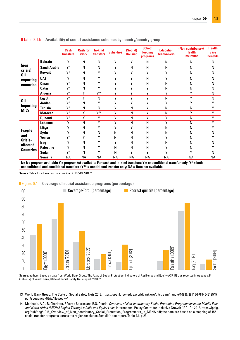|                                                                  |                  | Cash<br>transfers | <b>Cash for</b><br>work | <b>In-kind</b><br><b>transfers</b> | <b>Subsidies</b> | (Social)<br><b>Housing</b> | <b>School</b><br>feeding<br>programs | <b>Education</b><br>fee waivers | (Non contributory)<br><b>Health</b><br><i>insurance</i> | <b>Health</b><br>care<br><b>benefits</b> |
|------------------------------------------------------------------|------------------|-------------------|-------------------------|------------------------------------|------------------|----------------------------|--------------------------------------|---------------------------------|---------------------------------------------------------|------------------------------------------|
| (non<br>crisis)<br><b>Oil</b><br>exporting<br>countries          | <b>Bahrain</b>   | Υ                 | N                       | ${\sf N}$                          | Υ                | γ                          | N                                    | N                               | N                                                       | N                                        |
|                                                                  | Saudi Arabia     | Y*                | N                       | N                                  | γ                | N                          | N                                    | N                               | N                                                       | N                                        |
|                                                                  | <b>Kuwait</b>    | Y*                | N                       | Y                                  | Υ                | Υ                          | Y                                    | Y                               | N                                                       | N                                        |
|                                                                  | <b>UAE</b>       | Υ                 | N                       | γ                                  | γ                | γ                          | N                                    | Υ                               | N                                                       | N                                        |
|                                                                  | <b>Oman</b>      | Y*                | N                       | Υ                                  | γ                | Υ                          | N                                    | N                               | N                                                       | N                                        |
|                                                                  | <b>Qatar</b>     | Y*                | N                       | Y                                  | γ                | Y                          | γ                                    | N                               | N                                                       | N                                        |
|                                                                  | <b>Algeria</b>   | Y*                | γ                       | $V^*$                              | γ                | γ                          | Y                                    | Y                               | Υ                                                       | N                                        |
| <b>Oil</b><br><b>Importing</b><br><b>MICs</b>                    | <b>Egypt</b>     | Y*                | Υ                       | N                                  | γ                | Y                          | Υ                                    | N                               | Υ                                                       | N                                        |
|                                                                  | <b>Jordan</b>    | Y*                | N                       | Υ                                  | γ                | γ                          | Y                                    | Y                               | Υ                                                       | Υ                                        |
|                                                                  | <b>Tunisia</b>   | Y*                | N                       | N                                  | γ                | N                          | Y                                    | N                               | N                                                       | Υ                                        |
|                                                                  | <b>Morocco</b>   | Y*                | Υ                       | $V^*$                              | γ                | N                          | Y                                    | N                               | Υ                                                       | Υ                                        |
|                                                                  | <b>Djibouti</b>  | Y*                | γ                       | Y                                  | γ                | N                          | Υ                                    | Y                               | N                                                       | Υ                                        |
| <b>Fragile</b><br>and<br>Crisis-<br>affected<br><b>Countries</b> | Lebanon          | Υ                 | N                       | Υ                                  | γ                | N                          | N                                    | Y                               | N                                                       | Υ                                        |
|                                                                  | Libya            | Υ                 | N                       | Y                                  | ٧                | ٧                          | N                                    | N                               | N                                                       | Υ                                        |
|                                                                  | <b>Syria</b>     | Υ                 | N                       | N                                  | N                | N                          | N                                    | N                               | N                                                       | N                                        |
|                                                                  | Yemen            | Y*                | γ                       | Y                                  | N                | N                          | N                                    | Υ                               | N                                                       | Υ                                        |
|                                                                  | <b>Iraq</b>      | Υ                 | N                       | Υ                                  | γ                | N                          | N                                    | N                               | N                                                       | N                                        |
|                                                                  | <b>Palestine</b> | Υ                 | N                       | Y                                  | N                | N                          | N                                    | Y                               | N                                                       | Υ                                        |
|                                                                  | <b>Sudan</b>     | Y*                | N                       | Y                                  | N                | γ                          | Υ                                    | Y                               | γ                                                       | N                                        |
|                                                                  | <b>Somalia</b>   | ΝA                | <b>NA</b>               | <b>NA</b>                          | <b>NA</b>        | <b>NA</b>                  | <b>NA</b>                            | <b>NA</b>                       | <b>NA</b>                                               | <b>NA</b>                                |

#### Table 9.1.b **Availability of social assistance schemes by country/country group**

**N= No program available Y = program (s) available; For cash and in-kind transfers: Y = unconditional transfer only; Y\* = both unconditional and conditional transfers ; Y\*\* = conditional transfer only; NA = Data not available**

**Source:** Table 1.b – based on data provided in IPC-IG, 2018.13



**Source:** authors, based on data from World Bank Group, The Atlas of Social Protection: Indicators of Resilience and Equity (ASPIRE), as reported in Appendix F (Table F2) of World Bank, State of Social Safety Nets report (2018).14

<sup>13</sup> World Bank Group, The State of Social Safety Nets 2018, https://openknowledge.worldbank.org/bitstream/handle/10986/29115/9781464812545. pdf?sequence=5&isAllowed=y/.

<sup>14</sup> Machado, A.C., B. Charlotte, F. Veras Soares and R.G. Osorio, *Overview of Non-contributory Social Protection Programmes in the Middle East and North Africa (MENA) Region Through a Child and Equity Lens,* International Policy Centre for Inclusive Growth (IPC-IG), 2018, https://ipcig. org/pub/eng/JP18\_Overview\_of\_Non\_contributory\_Social\_Protection\_Programmers\_in\_MENA.pdf; the data are based on a mapping of 155 social transfer programs across the region (excludes Somalia); see report, Table 9.1, p.23.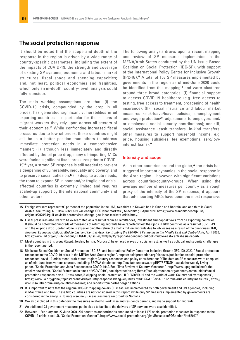#### **The social protection response**

It should be noted that the scope and depth of the response in the region is driven by a wide range of country-specific parameters, including the extent of the impacts of COVID-19; the strength and coverage of existing SP systems; economic and labour market structures; fiscal space and spending capacities; and, not least, political economies and fragilities, which only an in-depth (country-level) analysis could fully consider.

The main working assumptions are that: (i) the COVID-19 crisis, compounded by the drop in oil prices, has generated significant vulnerabilities in oil exporting countries – in particular for the millions of migrant workers they rely upon across all sectors of their economies.15 While confronting increased fiscal pressures due to low oil prices, these countries might still be in a better position than others to address immediate protection needs in a comprehensive manner; (ii) although less immediately and directly affected by the oil price drop, many oil-importing MICs were facing significant fiscal pressures prior to COVID-1916; yet, a strong SP response is still needed to prevent a deepening of vulnerability, inequality and poverty, and to preserve social cohesion;17 (iii) despite acute needs, the room to expand SP in poor and/or fragile and crisisaffected countries is extremely limited and requires scaled-up support by the international community and other actors.

The following analysis draws upon a recent mapping and review of SP measures implemented in the MENA/Arab States conducted by the UN Issue-Based Coalition on Social Protection (IBC-SP), with support of the International Policy Centre for Inclusive Growth (IPC-IG).18 A total of 158 SP measures implemented by governments in the region as of mid-June 2020 could be identified from this mapping<sup>19</sup> and were clustered around three broad categories: (I) financial support to access COVID-19 healthcare (e.g. free access to testing, free access to treatment, broadening of health insurance); (II) social insurance and labour market measures (sick-leave/leave policies, unemployment and wage protection<sup>20</sup>; adjustments to employers and/ or employees' social security contributions); and (III) social assistance (cash transfers, in-kind transfers, other measures to support household income, e.g. price, housing subsidies, fee exemptions, zero/lowinterest loans).21

#### Intensity and scope

As in other countries around the globe, $22$  the crisis has triggered important dynamics in the social response in the Arab region – however, with significant variations across countries/country-groups. When using the average number of measures per country as a rough proxy of the intensity of the SP response, it appears that oil-importing MICs have been the most responsive

<sup>15</sup> Foreign workers represent 90 percent of the population in the UAE, two-thirds in Kuwait, half in Oman and Bahrain, and one third in Saudi Arabia. see: Young, K., "How COVID-19 will change GCC labor markets", Al-Monitor, 3 April 2020, https://www.al-monitor.com/pulse/ originals/2020/04/gulf-covid19-coronavirus-change-gcc-labor-markets-crisis.html/.

<sup>16</sup> Fiscal pressures also likely to be exacerbated as a result of reduced remittances, investment and capital flows from oil exporting countries. It should be noted that hundreds of thousands of returning migrants have reportedly lost their jobs in GCC countries as a result of COVID-19 and the oil price drop. Jordan alone is experiencing the return of a half a million migrants due to job losses as a result of the dual crises. IMF, *Regional Economic Outlook: Middle East and Central Asia; Confronting the COVID-19 Pandemic in the Middle East and Central Asia,* April 2020, https://www.imf.org/en/Publications/REO/MECA/Issues/2020/04/15/regional-economic-outlook-middle-east-central-asia-report/.

<sup>17</sup> Most countries in this group (Egypt, Jordan, Tunisia, Morocco) have faced waves of social unrest, as well as political and security challenges in the recent period.

<sup>18</sup> UN Issue-Based Coalition on Social Protection (IBC-SP) and International Policy Center for Inclusive Growth (IPC-IG), 2020, "Social protection responses to the COVID-19 crisis in the MENA/ Arab States region", https://socialprotection.org/discover/publications/social-protectionresponses-covid-19-crisis-mena-arab-states-region; Country responses and policy considerations"; The data on SP measures were compiled as of mid-June from various sources, including: ESCWA database (http://covdata.unescwa.org/RPT/RPTDSH1.aspx); the weekly Living paper. "Social Protection and Jobs Responses to COVID-19: A Real-Time Review of Country Measures" (http://www.ugogentilini.net/); the weekly newsletter, "Social Protection in times of #COVID19", socialprotection.org (https://socialprotection.org/connect/communities/socialprotection-responses-covid-19-task-force/3-clipping-social-protection); ILO "COVID-19 and the world of work: Country policy responses", https://www.ilo.org/global/topics/coronavirus/country-responses/lang--en/index.htm); ISSA "Covid-19: Coronavirus country measures", https:// ww1.issa.int/coronavirus/country-measures; and reports from partner organizations.

<sup>19</sup> It is important to note that the regional IBC-SP mapping covers SP measures implemented by both government and UN agencies, including in Mauritania and Iran. These two countries are not considered in this report, while only SP measures implemented by governments are considered in the analysis. To note also, no SP measures were recorded for Somalia.

<sup>20</sup> We also included in this category the measures related to work, visa and residency permits, and wage support for migrants.

<sup>21</sup> An additional 23 government measures put in place to facilitate the delivery of SP services were also identified.

<sup>22</sup> Between 1 February and 22 June 2020, 200 countries and territories announced at least 1 179 social protection measures in response to the COVID-19 crisis; see: ILO, "Social Protection Monitor", https://www.social-protection.org/gimi/RessourcePDF.action?id=56047/.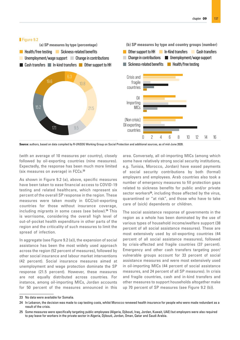

**Source:** authors, based on data compiled by R-UNSDG Working Group on Social Protection and additional sources, as of mid-June 2020.

(with an average of 10 measures per country), closely followed by oil-exporting countries (nine measures). Expectedly, the response has been much more limited (six measures on average) in FCCs.<sup>23</sup>

As shown in Figure 9.2 (a), above, specific measures have been taken to ease financial access to COVID-19 testing and related healthcare, which represent six percent of the overall SP response in the region. These measures were taken mostly in GCC/oil-exporting countries for those without insurance coverage, including migrants in some cases (see below).<sup>24</sup> This is worrisome, considering the overall high level of out-of-pocket health expenditure in other parts of the region and the criticality of such measures to limit the spread of infection.

In aggregate (see Figure 9.2 (a)), the expansion of social assistance has been the most widely used approach across the region (52 percent of measures), followed by other social insurance and labour market interventions (42 percent). Social insurance measures aimed at unemployment and wage protection dominate the SP response (21.5 percent). However, these measures are not equally distributed across countries. For instance, among oil-importing MICs, Jordan accounts for 50 percent of the measures announced in this area. Conversely, all oil-importing MICs (among which some have relatively strong social security institutions, e.g. Tunisia, Morocco, Jordan) have eased payments of social security contributions by both (formal) employers and employees. Arab countries also took a number of emergency measures to fill protection gaps related to sickness benefits for public and/or private sector workers<sup>25</sup>, including those affected by the virus, quarantined or "at risk", and those who have to take care of (sick) dependents or children.

The social assistance response of governments in the region as a whole has been dominated by the use of various types of household income/welfare support (38 percent of all social assistance measures). These are most extensively used by oil-exporting countries (44 percent of all social assistance measures), followed by crisis-affected and fragile countries (37 percent). Emergency and other cash transfers targeting poor/ vulnerable groups account for 33 percent of social assistance measures and were most extensively used in oil-importing MICs (44 percent of social assistance measures, and 24 percent of all SP measures). In crisis and fragile countries, cash and in-kind transfers and other measures to support households altogether make up 70 percent of SP measures (see Figure 9.2 (b)).

<sup>23</sup> No data were available for Somalia.

<sup>24</sup> In Lebanon, the decision was made to cap testing costs, whilst Morocco renewed health insurance for people who were made redundant as a result of the crisis.

<sup>25</sup> Some measures were specifically targeting public employees (Algeria, Djibouti, Iraq, Jordan, Kuwait, UAE) but employers were also required to pay leave for workers in the private sector in Algeria, Djibouti, Jordan, Oman, Qatar and Saudi Arabia.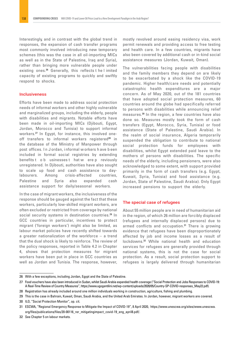Interestingly, and in contrast with the global trend in responses, the expansion of cash transfer programs most commonly involved introducing new temporary schemes (this was the case in all oil-importing MICs as well as in the State of Palestine, Iraq and Syria), rather than bringing more vulnerable people under existing ones.26 Generally, this reflects t he l imited capacity of existing programs to quickly and swiftly respond to shocks.

#### Inclusiveness

Efforts have been made to address social protection needs of informal workers and other highly vulnerable and marginalized groups, including the elderly, people with disabilities and migrants. Notable efforts have been made in oil-importing MICs (Djibouti, Egypt, Jordan, Morocco and Tunisia) to support informal workers.27 In Egypt, for instance, this involved oneoff transfers to informal workers registered<sup>28</sup> in the database of the Ministry of Manpower through post offices. I n J ordan, i nformal w orkers h ave b een included in formal social registries by extending benefits t o b usinesses t hat w ere p reviously unregistered. In Djibouti, authorities have also sought to scale up food and cash assistance to daylabourers. Among crisis-affected countries, Palestine and Syria also expanded cash assistance support for daily/seasonal workers.

In the case of migrant workers, the inclusiveness of the response should be gauged against the fact that these workers, particularly low-skilled migrant workers, are often excluded or restricted from coverage by national social security systems in destination countries.<sup>29</sup> In GCC countries in particular, incentives to protect migrant ('foreign workers') might also be limited, as labour market policies have recently shifted towards a greater nationalization of the workforce – a trend that the dual shock is likely to reinforce. The review of the policy responses, reported in Table 4.2 in Chapter 4, shows that protection measures for migrant workers have been put in place in GCC countries as well as Jordan and Tunisia. The response, however,

mostly revolved around easing residency visa, work permit renewals and providing access to free testing and health care. In a few countries, migrants have also been covered by additional cash or in-kind social assistance measures (Jordan, Kuwait, Oman).

The vulnerabilities facing people with disabilities and the family members they depend on are likely to be exacerbated by a shock like the COVID-19 pandemic. Higher health/care needs and potentially catastrophic health expenditures are a major concern. As of May 2020, out of the 181 countries that have adopted social protection measures, 60 countries around the globe had specifically referred to persons with disabilities while announcing relief measures.30 In the region, a few countries have also done so. Measures mostly took the form of cash transfers (Egypt, Morocco, Syria, Tunisia) or food assistance (State of Palestine, Saudi Arabia). In the realm of social insurance, Algeria temporarily suspended the obligation to contribute to national social protection funds for employees with disabilities, whilst Egypt extended paid leave to the mothers of persons with disabilities. The specific needs of the elderly, including pensioners, were also acknowledged to some extent, with support provided primarily in the form of cash transfers (e.g. Egypt, Kuwait, Syria, Tunisia) and food assistance (e.g. Jordan, State of Palestine, Saudi Arabia). Only Egypt increased pensions to support the elderly.

#### The special case of refugees

About 55 million people are in need of humanitarian aid in the region, of which 26 million are forcibly displaced (refugees and internally displaced persons) due to armed conflicts and occupation.<sup>31</sup> There is growing evidence that refugees have been disproportionately affected by job and income losses as a result of lockdowns.32 While national health and education services for refugees are generally provided through national systems, this is not the case for social protection. As a result, social protection support to refugees is largely delivered through humanitarian

<sup>26</sup> With a few exceptions, including Jordan, Egypt and the State of Palestine.

<sup>27</sup> Food vouchers have also been introduced in Sudan, whilst Saudi Arabia expanded health coverage ("Social Protection and Jobs Responses to COVID-19: A Real-Time Review of Country Measures", https://www.ugogentilini.net/wp-content/uploads/2020/05/Country-SP-COVID-responses\_May22.pdf).

<sup>28</sup> Registration has already included around one million individuals working in construction, agriculture, fishing and plumbing.

<sup>29</sup> This is the case in Bahrain, Kuwait, Oman, Saudi Arabia, and the United Arab Emirates. In Jordan, however, migrant workers are covered.

<sup>30</sup> ILO, "Social Protection Monitor", op. cit.

<sup>31</sup> ESCWA, "Regional Emergency Response to Mitigate the Impact of COVID-19", 8 April 2020, https://www.unescwa.org/sites/www.unescwa. org/files/publications/files/20-00116\_rer\_mitigatingimpact\_covid-19\_eng\_april8.pdf/.

<sup>32</sup> See Chapter 5 on labour markets.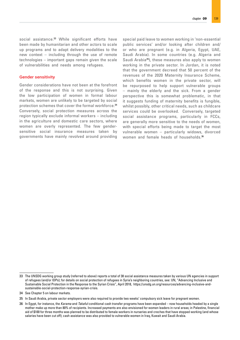social assistance.<sup>33</sup> While significant efforts have been made by humanitarian and other actors to scale up programs and to adapt delivery modalities to the new context – including through the use of remote technologies – important gaps remain given the scale of vulnerabilities and needs among refugees.

#### Gender sensitivity

Gender considerations have not been at the forefront of the response and this is not surprising. Given the low participation of women in formal labour markets, women are unlikely to be targeted by social protection schemes that cover the formal workforce.34 Conversely, social protection measures across the region typically exclude informal workers – including in the agriculture and domestic care sectors, where women are overly represented. The few gendersensitive social insurance measures taken by governments have mainly revolved around providing

special paid leave to women working in 'non-essential public services' and/or looking after children and/ or who are pregnant (e.g. in Algeria, Egypt, UAE, Saudi Arabia). In some countries (e.g. Algeria and Saudi Arabia<sup>35</sup>), these measures also apply to women working in the private sector. In Jordan, it is noted that the government decreed that 50 percent of the revenues of the 2020 Maternity Insurance Scheme, which benefits women in the private sector, will be repurposed to help support vulnerable groups – mainly the elderly and the sick. From a gender perspective this is somewhat problematic, in that it suggests funding of maternity benefits is fungible, whilst possibly, other critical needs, such as childcare services could be overlooked. Conversely, targeted social assistance programs, particularly in FCCs, are generally more sensitive to the needs of women, with special efforts being made to target the most vulnerable women – particularly widows, divorced women and female heads of households.<sup>36</sup>

<sup>33</sup> The UNSDG working group study (referred to above) reports a total of 38 social assistance measures taken by various UN agencies in support of refugees (and/or IDPs); for details on social protection of refugees in Syria's neighboring countries, see: UN, "Advancing Inclusive and Sustainable Social Protection in the Response to the Syrian Crisis", April 2018, https://unsdg.un.org/resources/advancing-inclusive-andsustainable-social-protection-response-syrian-crisis.

<sup>34</sup> See Chapter 5 on labour markets.

<sup>35</sup> In Saudi Arabia, private sector employers were also required to provide two weeks' compulsory sick leave for pregnant women.

<sup>36</sup> In Egypt, for instance, the *Karama* and *Takaful* conditional cash transfer programs have been expanded – now households headed by a single mother make up more than 80% of recipients. Increased payments are also envisioned for women leaders in rural areas; in Palestine, financial aid of \$100 for three months was planned to be distributed to female workers in nurseries and creches that have stopped working (and whose salaries have been cut off); cash assistance was also provided to vulnerable women in Iraq, Kuwait and Saudi Arabia.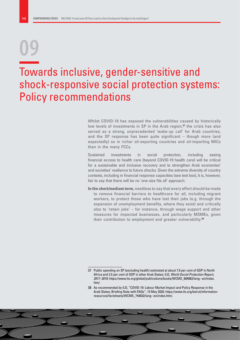# **09**

### Towards inclusive, gender-sensitive and shock-responsive social protection systems: Policy recommendations

Whilst COVID-19 has exposed the vulnerabilities caused by historically low levels of investments in  $SP$  in the Arab region, $37$  the crisis has also served as a strong, unprecedented 'wake-up call' for Arab countries, and the SP response has been quite significant – though more (and expectedly) so in richer oil-exporting countries and oil-importing MICs than in the many FCCs.

Sustained investments in social protection, including easing financial access to health care (beyond COVID-19 health care) will be critical for a sustainable and inclusive recovery and to strengthen Arab economies' and societies' resilience to future shocks. Given the extreme diversity of country contexts, including in financial response capacities (see text box), it is, however, fair to say that there will be no 'one-size fits all' approach.

**In the short/medium term,** needless to say that every effort should be made to remove financial barriers to healthcare for all, including migrant workers, to protect those who have lost their jobs (e.g. through the expansion of unemployment benefits, where they exist) and critically also to 'retain jobs' – for instance, through wage support and other measures for impacted businesses, and particularly MSMEs, given their contribution to employment and greater vulnerability.<sup>38</sup>

<sup>37</sup> Public spending on SP (excluding health) estimated at about 7.6 per cent of GDP in North Africa and 2.5 per cent of GDP in other Arab States; ILO, *World Social Protection Report, 2017–2019,* https://www.ilo.org/global/publications/books/WCMS\_604882/lang--en/index. htm/.

<sup>38</sup> As recommended by ILO, "COVID-19: Labour Market Impact and Policy Response in the Arab States; Briefing Note with FAQs", 15 May 2020, https://www.ilo.org/beirut/informationresources/factsheets/WCMS\_744832/lang--en/index.htm/.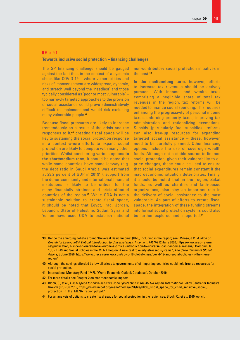#### **Box 9.1**

#### **Towards inclusive social protection – financing challenges**

The SP financing challenge should be gauged against the fact that, in the context of a systemic shock like COVID-19 – where vulnerabilities and risks of impoverishment are widespread, dynamic, and stretch well beyond the 'neediest' and those typically considered as 'poor or most vulnerable' – too narrowly targeted approaches to the provision of social assistance could prove administratively difficult to implement and would risk excluding many vulnerable people.<sup>39</sup>

Because fiscal pressures are likely to increase tremendously as a result of the crisis and the responses to it,<sup>40</sup> creating fiscal space will be key to sustaining the social protection response in a context where efforts to expand social protection are likely to compete with many other priorities. Whilst considering various options **in the short/medium term,** it should be noted that while some countries have some leeway (e.g. the debt ratio in Saudi Arabia was estimated at 23.2 percent of GDP in 2019<sup>41</sup>), support from the donor community and international financial institutions is likely to be critical for the many financially strained and crisis-affected countries of the region.<sup>42</sup> While ODA is not a sustainable solution to create fiscal space, it should be noted that Egypt, Iraq, Jordan, Lebanon, State of Palestine, Sudan, Syria and Yemen have used ODA to establish national non-contributory social protection initiatives in the past.<sup>43</sup>

**In the medium/long term,** however, efforts to increase tax revenues should be actively pursued. With income and wealth taxes comprising a negligible share of total tax revenues in the region, tax reforms will be needed to finance social spending. This requires enhancing the progressivity of personal income taxes, enforcing property taxes, improving tax administration and rationalizing exemptions. Subsidy (particularly fuel subsidies) reforms can also free-up resources for expanding targeted social assistance – these, however, need to be carefully planned. Other financing options include the use of sovereign wealth funds. Although not a stable source to finance social protection, given their vulnerability to oil price changes, these could be used to ensure that social expenditures remain constant if the macroeconomic situation deteriorates. Finally, it should be noted that in the region, Zakat funds, as well as charities and faith-based organizations, also play an important role in the delivery of social assistance to the most vulnerable. As part of efforts to create fiscal space, the integration of these funding streams into formal social protection systems could also be further explored and supported.<sup>44</sup>

<sup>39</sup> Hence the emerging debate around 'Universal Basic Income' (UNI), including in the region; see: Vizoso, J.C., A *Slice of Knafeh for Everyone? A Critical Introduction to Universal Basic Income in MENA,*12 June 2020, https://www.arab-reform. net/publication/a-slice-of-knafeh-for-everyone-a-critical-introduction-to-universal-basic-income-in-mena/; Barsoum, G., "COVID-19 and Social Policies in the MENA Region: A new test to overly-stressed systems", *The Cairo Review of Global Affairs*, 5 June 2020, https://www.thecairoreview.com/covid-19-global-crisis/covid-19-and-social-policies-in-the-menaregion/.

<sup>40</sup> Although the savings afforded by low oil prices to governments of oil-importing countries could help free-up resources for social protection.

<sup>41</sup> International Monetary Fund (IMF), "World Economic Outlook Database", October 2019.

<sup>42</sup> For more details see Chapter 2 on macroeconomic impacts.

<sup>43</sup> Bloch, C., et al., *Fiscal space for child-sensitive social protection in the MENA region,* International Policy Centre for Inclusive Growth (IPC-IG), 2019, https://www.unicef.org/mena/media/4991/file/RR36\_Fiscal\_space\_for\_child\_sensitive\_social\_ protection\_in\_the\_MENA\_region.pdf.pdf/.

<sup>44</sup> For an analysis of options to create fiscal space for social protection in the region see: Bloch, C., et al., 2019, op. cit.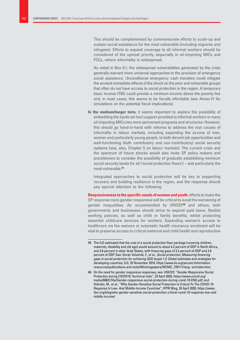This should be complemented by commensurate efforts to scale-up and sustain social assistance for the most vulnerable (including migrants and refugees). Efforts to expand coverage to all informal workers should be considered of the upmost priority, especially in oil-importing MICs and FCCs, where informality is widespread.

As noted in Box 9.1, the widespread vulnerabilities generated by the crisis generally warrant more universal approaches to the provision of emergency social assistance. Unconditional emergency cash transfers could mitigate the acutest immediate effects of the shock on the poor and vulnerable groups that often do not have access to social protection in the region. A temporary basic income (TBI) could provide a minimum income above the poverty line and, in most cases, this seems to be fiscally affordable (see Annex IV for simulations on the potential fiscal implications).

**In the medium/longer term,** it seems important to explore the possibility of embedding the (quite ad-hoc) support provided to informal workers in many oil-importing MICs into more permanent programs and structures. However, this should go hand-in-hand with reforms to address the root causes of informality in labour markets, including expanding the access of men, women and particularly young people, to both decent job opportunities and well-functioning (both contributory and non-contributory) social security systems (see, also, Chapter 5 on labour markets). The current crisis and the spectrum of future shocks would also invite SP policy makers and practitioners to consider the possibility of gradually establishing minimum social security levels for all ('social protection floors') – and particularly the most vulnerable.45

Integrated approaches to social protection will be key to supporting recovery and building resilience in the region, and the response should pay special attention to the following:

**Responsiveness to the specific needs of women and youth:** efforts to make the SP response more gender-responsive will be critical to avoid the worsening of gender inequalities. As recommended by UNICEF<sup>46</sup> and others, both governments and businesses should strive to expand paid leave, flexible working policies, as well as child or family benefits, whilst protecting essential childcare services for workers. Expanding women's access to healthcare via fee waivers or automatic health insurance enrolment will be vital to preserve access to critical maternal and child health and reproductive

<sup>45</sup> The ILO estimated that the cost of a social protection floor package (covering children, maternity, disability and old age) would amount to about 4.2 percent of GDP in North Africa, and 3.6 percent in other Arab States, with financing gaps of 3.2 percent of GDP and 2.8 percent of GDP. See: Durán Valverde, F., et al., *Social protection; Measuring financing gaps in social protection for achieving SDG target 1.3: Global estimates and strategies for developing countries,* ILO, 25 November 2019, https://www.ilo.org/secsoc/informationresources/publications-and-tools/Workingpapers/WCMS\_729111/lang--en/index.htm/.

<sup>46</sup> On the need for gender responsive responses, see: UNICEF, "Gender-Responsive Social Protection during COVID19; Technical note", 23 April 2020, https://www.unicef.org/ media/68631/file/Gender-responsive-social-protection-during-covid-19-ENG.pdf; and Hidrobo, M., et al., "Why Gender-Sensitive Social Protection Is Critical To The COVID-19 Response In Low- And Middle-Income Countries", IFPRI Blog, 28 April 2020, https://www. ifpri.org/blog/why-gender-sensitive-social-protection-critical-covid-19-response-low-andmiddle-income/.